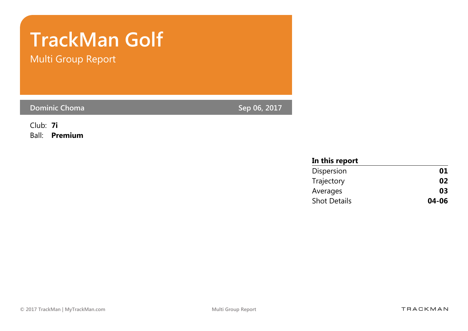# TrackMan Golf

Multi Group Report

Dominic Choma and the control of the control of the Sep 06, 2017

Club: 7i Ball: Premium

| In this report      |       |
|---------------------|-------|
| Dispersion          | 01    |
| Trajectory          | 02    |
| Averages            | 03    |
| <b>Shot Details</b> | 04-06 |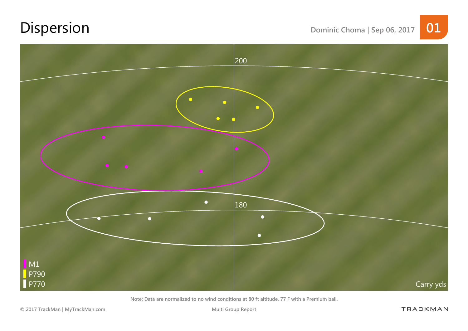## Dispersion Dominic Choma | Sep 06, 2017 01



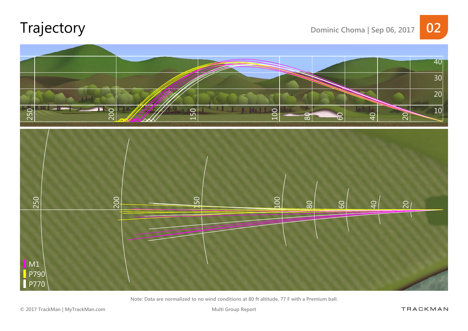### Trajectory Dominic Choma | Sep 06, 2017 02



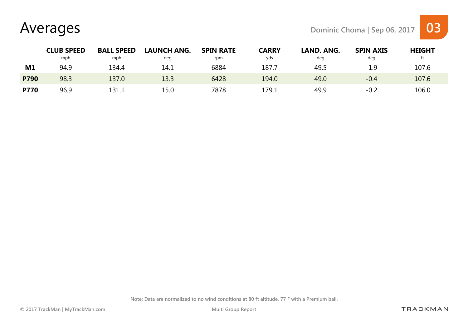Averages Dominic Choma | Sep 06, 2017 03



|             | <b>CLUB SPEED</b> | <b>BALL SPEED</b> | <b>LAUNCH ANG.</b> | <b>SPIN RATE</b> | <b>CARRY</b> | LAND. ANG. | <b>SPIN AXIS</b> | <b>HEIGHT</b> |  |
|-------------|-------------------|-------------------|--------------------|------------------|--------------|------------|------------------|---------------|--|
|             | mph               | mph               | deg                | rpm              | yds          | deg        | deg              |               |  |
| M1          | 94.9              | 134.4             | 14.1               | 6884             | 187.7        | 49.5       | $-1.9$           | 107.6         |  |
| <b>P790</b> | 98.3              | 137.0             | 13.3               | 6428             | 194.0        | 49.0       | $-0.4$           | 107.6         |  |
| <b>P770</b> | 96.9              | 131.1             | 15.0               | 7878             | 179.1        | 49.9       | $-0.2$           | 106.0         |  |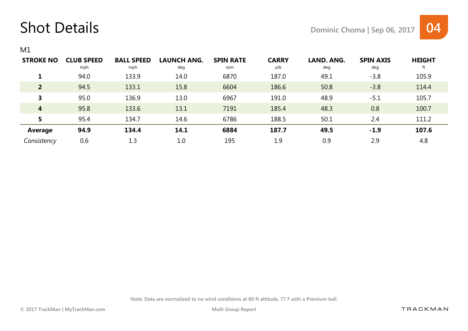#### Shot Details Details Dominic Choma | Sep 06, 2017 04



M1

| <b>STROKE NO</b> | <b>CLUB SPEED</b><br>mph | <b>BALL SPEED</b><br>mph | <b>LAUNCH ANG.</b><br>deg | <b>SPIN RATE</b><br>rpm | <b>CARRY</b><br>yds | LAND. ANG.<br>deg | <b>SPIN AXIS</b><br>deg | <b>HEIGHT</b> |
|------------------|--------------------------|--------------------------|---------------------------|-------------------------|---------------------|-------------------|-------------------------|---------------|
|                  | 94.0                     | 133.9                    | 14.0                      | 6870                    | 187.0               | 49.1              | $-3.8$                  | 105.9         |
| $\overline{2}$   | 94.5                     | 133.1                    | 15.8                      | 6604                    | 186.6               | 50.8              | $-3.8$                  | 114.4         |
| 3                | 95.0                     | 136.9                    | 13.0                      | 6967                    | 191.0               | 48.9              | $-5.1$                  | 105.7         |
| 4                | 95.8                     | 133.6                    | 13.1                      | 7191                    | 185.4               | 48.3              | 0.8                     | 100.7         |
| 5                | 95.4                     | 134.7                    | 14.6                      | 6786                    | 188.5               | 50.1              | 2.4                     | 111.2         |
| <b>Average</b>   | 94.9                     | 134.4                    | 14.1                      | 6884                    | 187.7               | 49.5              | $-1.9$                  | 107.6         |
| Consistency      | 0.6                      | 1.3                      | 1.0                       | 195                     | 1.9                 | 0.9               | 2.9                     | 4.8           |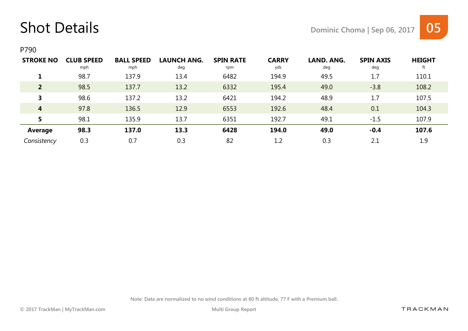#### Shot Details Details Dominic Choma | Sep 06, 2017 05



P790

| <b>STROKE NO</b> | <b>CLUB SPEED</b><br>mph | <b>BALL SPEED</b><br>mph | <b>LAUNCH ANG.</b><br>deg | <b>SPIN RATE</b><br>rpm | <b>CARRY</b><br>yds | LAND. ANG.<br>deg | <b>SPIN AXIS</b><br>deg | <b>HEIGHT</b><br>ft |
|------------------|--------------------------|--------------------------|---------------------------|-------------------------|---------------------|-------------------|-------------------------|---------------------|
|                  | 98.7                     | 137.9                    | 13.4                      | 6482                    | 194.9               | 49.5              | 1.7                     | 110.1               |
| $\overline{2}$   | 98.5                     | 137.7                    | 13.2                      | 6332                    | 195.4               | 49.0              | $-3.8$                  | 108.2               |
| 3                | 98.6                     | 137.2                    | 13.2                      | 6421                    | 194.2               | 48.9              | 1.7                     | 107.5               |
| $\overline{4}$   | 97.8                     | 136.5                    | 12.9                      | 6553                    | 192.6               | 48.4              | 0.1                     | 104.3               |
| 5                | 98.1                     | 135.9                    | 13.7                      | 6351                    | 192.7               | 49.1              | $-1.5$                  | 107.9               |
| Average          | 98.3                     | 137.0                    | 13.3                      | 6428                    | 194.0               | 49.0              | $-0.4$                  | 107.6               |
| Consistency      | 0.3                      | 0.7                      | 0.3                       | 82                      | 1.2                 | 0.3               | 2.1                     | 1.9                 |